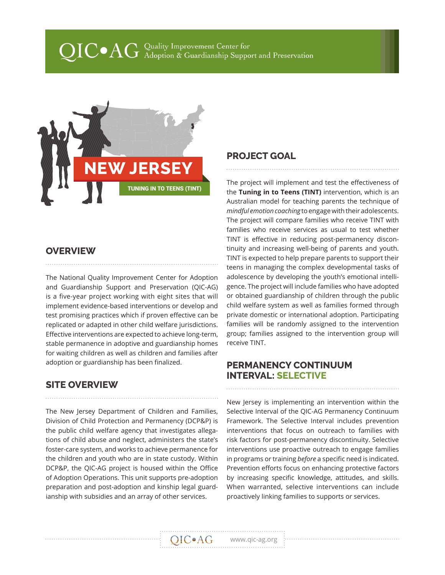# $\operatorname{QIC} \bullet \operatorname{AG}$  Quality Improvement Center for<br> $\operatorname{QIC} \bullet \operatorname{AG}$  Adoption & Guardianship Support and Preservation



#### **OVERVIEW**

The National Quality Improvement Center for Adoption and Guardianship Support and Preservation (QIC-AG) is a five-year project working with eight sites that will implement evidence-based interventions or develop and test promising practices which if proven effective can be replicated or adapted in other child welfare jurisdictions. Effective interventions are expected to achieve long-term, stable permanence in adoptive and guardianship homes for waiting children as well as children and families after adoption or guardianship has been finalized.

### **SITE OVERVIEW**

The New Jersey Department of Children and Families, Division of Child Protection and Permanency (DCP&P) is the public child welfare agency that investigates allegations of child abuse and neglect, administers the state's foster-care system, and works to achieve permanence for the children and youth who are in state custody. Within DCP&P, the QIC-AG project is housed within the Office of Adoption Operations. This unit supports pre-adoption preparation and post-adoption and kinship legal guardianship with subsidies and an array of other services.

### **PROJECT GOAL**

The project will implement and test the effectiveness of the **Tuning in to Teens (TINT)** intervention, which is an Australian model for teaching parents the technique of *mindful emotion coaching* to engage with their adolescents. The project will compare families who receive TINT with families who receive services as usual to test whether TINT is effective in reducing post-permanency discontinuity and increasing well-being of parents and youth. TINT is expected to help prepare parents to support their teens in managing the complex developmental tasks of adolescence by developing the youth's emotional intelligence. The project will include families who have adopted or obtained guardianship of children through the public child welfare system as well as families formed through private domestic or international adoption. Participating families will be randomly assigned to the intervention group; families assigned to the intervention group will receive TINT.

#### **PERMANENCY CONTINUUM INTERVAL: SELECTIVE**

New Jersey is implementing an intervention within the Selective Interval of the QIC-AG Permanency Continuum Framework. The Selective Interval includes prevention interventions that focus on outreach to families with risk factors for post-permanency discontinuity. Selective interventions use proactive outreach to engage families in programs or training *before* a specific need is indicated. Prevention efforts focus on enhancing protective factors by increasing specific knowledge, attitudes, and skills. When warranted, selective interventions can include proactively linking families to supports or services.